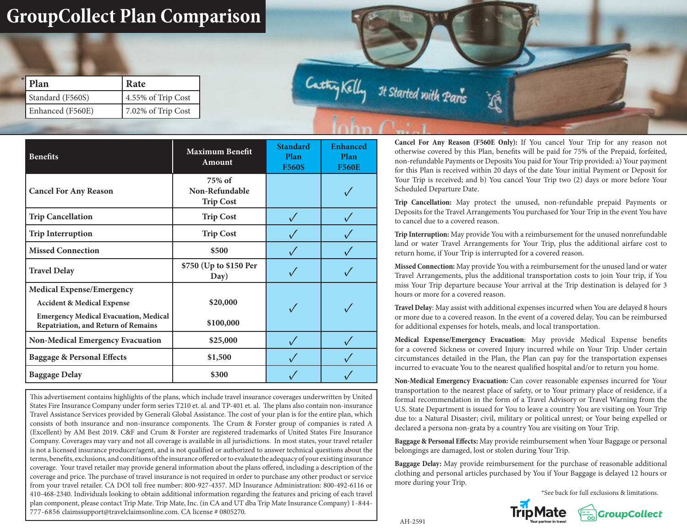## **GroupCollect Plan Comparison**

| Plan             | Rate               |  |
|------------------|--------------------|--|
| Standard (F560S) | 4.55% of Trip Cost |  |
| Enhanced (F560E) | 7.02% of Trip Cost |  |

Cathy Kelly It Started with Paris

| <b>Benefits</b>                                                                                                                                                  | <b>Maximum Benefit</b><br>Amount             | <b>Standard</b><br>Plan<br><b>F560S</b> | <b>Enhanced</b><br>Plan<br><b>F560E</b> |
|------------------------------------------------------------------------------------------------------------------------------------------------------------------|----------------------------------------------|-----------------------------------------|-----------------------------------------|
| <b>Cancel For Any Reason</b>                                                                                                                                     | 75% of<br>Non-Refundable<br><b>Trip Cost</b> |                                         |                                         |
| <b>Trip Cancellation</b>                                                                                                                                         | <b>Trip Cost</b>                             |                                         |                                         |
| <b>Trip Interruption</b>                                                                                                                                         | <b>Trip Cost</b>                             |                                         |                                         |
| <b>Missed Connection</b>                                                                                                                                         | \$500                                        |                                         |                                         |
| <b>Travel Delay</b>                                                                                                                                              | \$750 (Up to \$150 Per<br>Day)               |                                         |                                         |
| <b>Medical Expense/Emergency</b><br><b>Accident &amp; Medical Expense</b><br><b>Emergency Medical Evacuation, Medical</b><br>Repatriation, and Return of Remains | \$20,000<br>\$100,000                        |                                         |                                         |
| <b>Non-Medical Emergency Evacuation</b>                                                                                                                          | \$25,000                                     |                                         |                                         |
| <b>Baggage &amp; Personal Effects</b>                                                                                                                            | \$1,500                                      |                                         |                                         |
| <b>Baggage Delay</b>                                                                                                                                             | \$300                                        |                                         |                                         |

This advertisement contains highlights of the plans, which include travel insurance coverages underwritten by United States Fire Insurance Company under form series T210 et. al. and TP-401 et. al. The plans also contain non-insurance Travel Assistance Services provided by Generali Global Assistance. The cost of your plan is for the entire plan, which consists of both insurance and non-insurance components. The Crum & Forster group of companies is rated A (Excellent) by AM Best 2019. C&F and Crum & Forster are registered trademarks of United States Fire Insurance Company. Coverages may vary and not all coverage is available in all jurisdictions. In most states, your travel retailer is not a licensed insurance producer/agent, and is not qualified or authorized to answer technical questions about the terms, benefits, exclusions, and conditions of the insurance offered or to evaluate the adequacy of your existing insurance coverage. Your travel retailer may provide general information about the plans offered, including a description of the coverage and price. The purchase of travel insurance is not required in order to purchase any other product or service from your travel retailer. CA DOI toll free number: 800-927-4357. MD Insurance Administration: 800-492-6116 or 410-468-2340. Individuals looking to obtain additional information regarding the features and pricing of each travel plan component, please contact Trip Mate. Trip Mate, Inc. (in CA and UT dba Trip Mate Insurance Company) 1-844- 777-6856 claimssupport@travelclaimsonline.com. CA license # 0805270.

**Cancel For Any Reason (F560E Only):** If You cancel Your Trip for any reason not otherwise covered by this Plan, benefits will be paid for 75% of the Prepaid, forfeited, non-refundable Payments or Deposits You paid for Your Trip provided: a) Your payment for this Plan is received within 20 days of the date Your initial Payment or Deposit for Your Trip is received; and b) You cancel Your Trip two (2) days or more before Your Scheduled Departure Date.

Á

**Trip Cancellation:** May protect the unused, non-refundable prepaid Payments or Deposits for the Travel Arrangements You purchased for Your Trip in the event You have to cancel due to a covered reason.

**Trip Interruption:** May provide You with a reimbursement for the unused nonrefundable land or water Travel Arrangements for Your Trip, plus the additional airfare cost to return home, if Your Trip is interrupted for a covered reason.

**Missed Connection:** May provide You with a reimbursement for the unused land or water Travel Arrangements, plus the additional transportation costs to join Your trip, if You miss Your Trip departure because Your arrival at the Trip destination is delayed for 3 hours or more for a covered reason.

**Travel Delay**: May assist with additional expenses incurred when You are delayed 8 hours or more due to a covered reason. In the event of a covered delay, You can be reimbursed for additional expenses for hotels, meals, and local transportation.

**Medical Expense/Emergency Evacuation**: May provide Medical Expense benefits for a covered Sickness or covered Injury incurred while on Your Trip. Under certain circumstances detailed in the Plan, the Plan can pay for the transportation expenses incurred to evacuate You to the nearest qualified hospital and/or to return you home.

**Non-Medical Emergency Evacuation:** Can cover reasonable expenses incurred for Your transportation to the nearest place of safety, or to Your primary place of residence, if a formal recommendation in the form of a Travel Advisory or Travel Warning from the U.S. State Department is issued for You to leave a country You are visiting on Your Trip due to: a Natural Disaster; civil, military or political unrest; or Your being expelled or declared a persona non-grata by a country You are visiting on Your Trip.

**Baggage & Personal Effects:** May provide reimbursement when Your Baggage or personal belongings are damaged, lost or stolen during Your Trip.

**Baggage Delay:** May provide reimbursement for the purchase of reasonable additional clothing and personal articles purchased by You if Your Baggage is delayed 12 hours or more during your Trip.